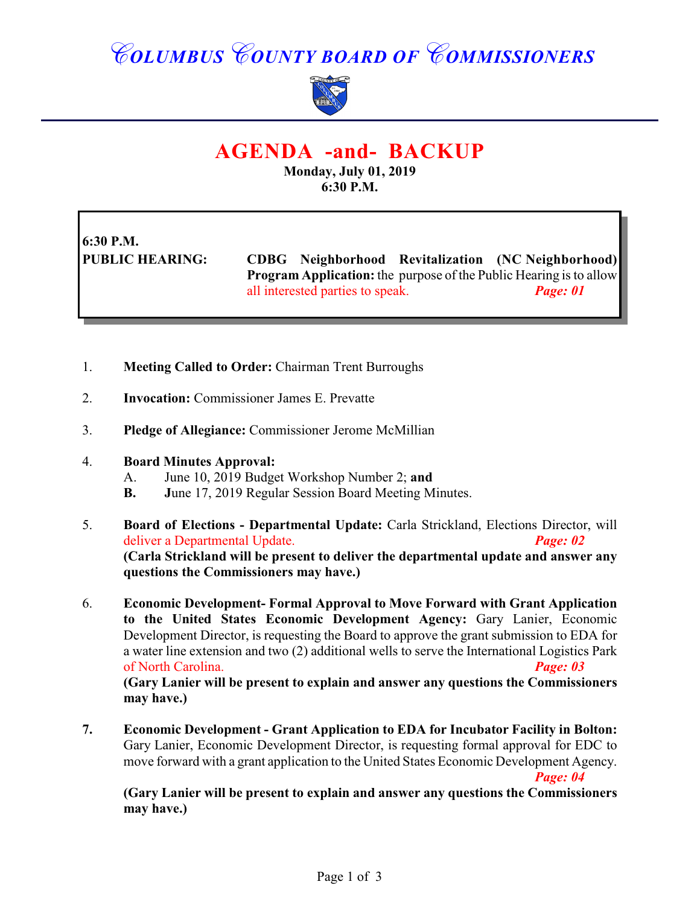## *COLUMBUS COUNTY BOARD OF COMMISSIONERS*



## **AGENDA -and- BACKUP**

**Monday, July 01, 2019 6:30 P.M.**

**6:30 P.M.**

**PUBLIC HEARING: CDBG Neighborhood Revitalization (NC Neighborhood) Program Application:** the purpose of the Public Hearing is to allow all interested parties to speak. *Page: 01*

- 1. **Meeting Called to Order:** Chairman Trent Burroughs
- 2. **Invocation:** Commissioner James E. Prevatte
- 3. **Pledge of Allegiance:** Commissioner Jerome McMillian
- 4. **Board Minutes Approval:**
	- A. June 10, 2019 Budget Workshop Number 2; **and**
	- **B. J**une 17, 2019 Regular Session Board Meeting Minutes.
- 5. **Board of Elections Departmental Update:** Carla Strickland, Elections Director, will deliver a Departmental Update. *Page: 02* **(Carla Strickland will be present to deliver the departmental update and answer any questions the Commissioners may have.)**
- 6. **Economic Development- Formal Approval to Move Forward with Grant Application to the United States Economic Development Agency:** Gary Lanier, Economic Development Director, is requesting the Board to approve the grant submission to EDA for a water line extension and two (2) additional wells to serve the International Logistics Park of North Carolina. *Page: 03*

**(Gary Lanier will be present to explain and answer any questions the Commissioners may have.)**

**7. Economic Development - Grant Application to EDA for Incubator Facility in Bolton:** Gary Lanier, Economic Development Director, is requesting formal approval for EDC to move forward with a grant application to the United States Economic Development Agency.

*Page: 04*

**(Gary Lanier will be present to explain and answer any questions the Commissioners may have.)**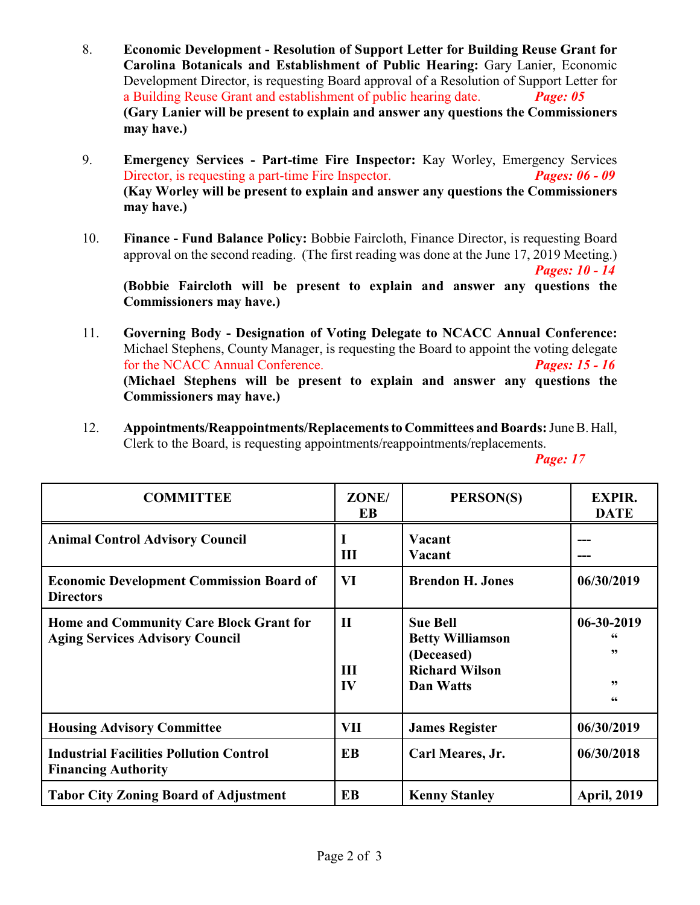- 8. **Economic Development Resolution of Support Letter for Building Reuse Grant for Carolina Botanicals and Establishment of Public Hearing:** Gary Lanier, Economic Development Director, is requesting Board approval of a Resolution of Support Letter for a Building Reuse Grant and establishment of public hearing date. *Page: 05* **(Gary Lanier will be present to explain and answer any questions the Commissioners may have.)**
- 9. **Emergency Services Part-time Fire Inspector:** Kay Worley, Emergency Services Director, is requesting a part-time Fire Inspector. *Pages: 06 - 09* **(Kay Worley will be present to explain and answer any questions the Commissioners may have.)**
- 10. **Finance Fund Balance Policy:** Bobbie Faircloth, Finance Director, is requesting Board approval on the second reading. (The first reading was done at the June 17, 2019 Meeting.) *Pages: 10 - 14*

**(Bobbie Faircloth will be present to explain and answer any questions the Commissioners may have.)**

- 11. **Governing Body - Designation of Voting Delegate to NCACC Annual Conference:** Michael Stephens, County Manager, is requesting the Board to appoint the voting delegate for the NCACC Annual Conference. *Pages: 15 - 16* **(Michael Stephens will be present to explain and answer any questions the Commissioners may have.)**
- 12. **Appointments/Reappointments/Replacements to Committees and Boards:** June B. Hall, Clerk to the Board, is requesting appointments/reappointments/replacements.

*Page: 17* 

| <b>COMMITTEE</b>                                                                  | ZONE/<br>EB               | PERSON(S)                                                                                      | <b>EXPIR.</b><br><b>DATE</b>         |
|-----------------------------------------------------------------------------------|---------------------------|------------------------------------------------------------------------------------------------|--------------------------------------|
| <b>Animal Control Advisory Council</b>                                            | III                       | Vacant<br>Vacant                                                                               |                                      |
| <b>Economic Development Commission Board of</b><br><b>Directors</b>               | VI                        | <b>Brendon H. Jones</b>                                                                        | 06/30/2019                           |
| Home and Community Care Block Grant for<br><b>Aging Services Advisory Council</b> | $\mathbf{I}$<br>III<br>IV | <b>Sue Bell</b><br><b>Betty Williamson</b><br>(Deceased)<br><b>Richard Wilson</b><br>Dan Watts | 06-30-2019<br>66<br>, 9<br>, 9<br>66 |
| <b>Housing Advisory Committee</b>                                                 | <b>VII</b>                | <b>James Register</b>                                                                          | 06/30/2019                           |
| <b>Industrial Facilities Pollution Control</b><br><b>Financing Authority</b>      | <b>EB</b>                 | Carl Meares, Jr.                                                                               | 06/30/2018                           |
| <b>Tabor City Zoning Board of Adjustment</b>                                      | EB                        | <b>Kenny Stanley</b>                                                                           | <b>April, 2019</b>                   |